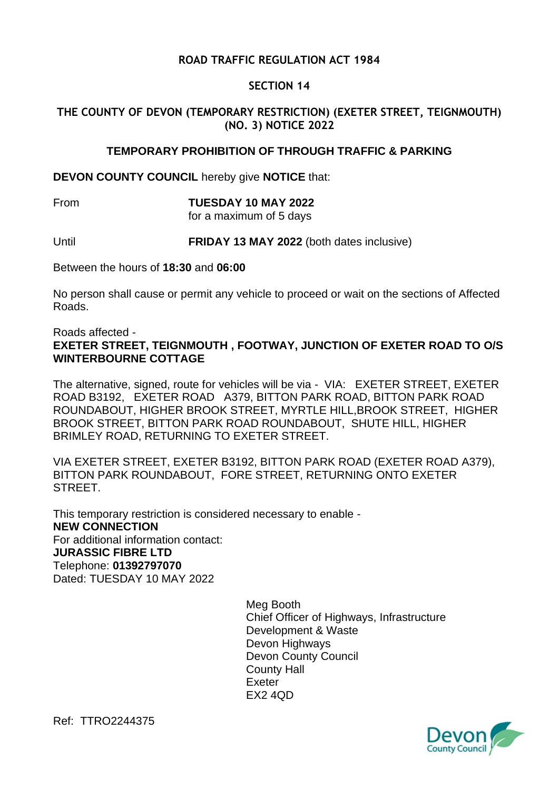# **ROAD TRAFFIC REGULATION ACT 1984**

## **SECTION 14**

# **THE COUNTY OF DEVON (TEMPORARY RESTRICTION) (EXETER STREET, TEIGNMOUTH) (NO. 3) NOTICE 2022**

#### **TEMPORARY PROHIBITION OF THROUGH TRAFFIC & PARKING**

**DEVON COUNTY COUNCIL** hereby give **NOTICE** that:

#### From **TUESDAY 10 MAY 2022**

for a maximum of 5 days

Until **FRIDAY 13 MAY 2022** (both dates inclusive)

Between the hours of **18:30** and **06:00**

No person shall cause or permit any vehicle to proceed or wait on the sections of Affected Roads.

Roads affected - **EXETER STREET, TEIGNMOUTH , FOOTWAY, JUNCTION OF EXETER ROAD TO O/S WINTERBOURNE COTTAGE**

The alternative, signed, route for vehicles will be via - VIA: EXETER STREET, EXETER ROAD B3192, EXETER ROAD A379, BITTON PARK ROAD, BITTON PARK ROAD ROUNDABOUT, HIGHER BROOK STREET, MYRTLE HILL,BROOK STREET, HIGHER BROOK STREET, BITTON PARK ROAD ROUNDABOUT, SHUTE HILL, HIGHER BRIMLEY ROAD, RETURNING TO EXETER STREET.

VIA EXETER STREET, EXETER B3192, BITTON PARK ROAD (EXETER ROAD A379), BITTON PARK ROUNDABOUT, FORE STREET, RETURNING ONTO EXETER STREET.

This temporary restriction is considered necessary to enable - **NEW CONNECTION** For additional information contact: **JURASSIC FIBRE LTD** Telephone: **01392797070** Dated: TUESDAY 10 MAY 2022

> Meg Booth Chief Officer of Highways, Infrastructure Development & Waste Devon Highways Devon County Council County Hall Exeter EX2 4QD